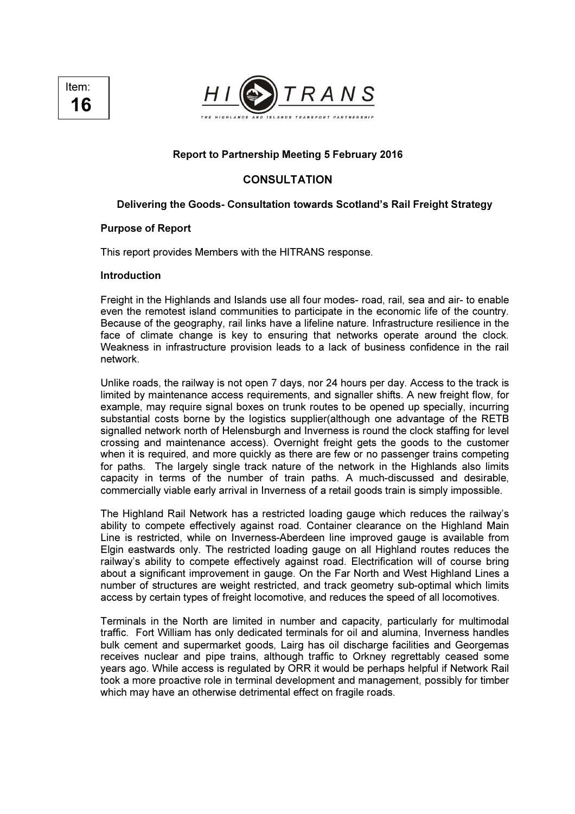



## Report to Partnership Meeting 5 February 2016

# **CONSULTATION**

# Delivering the Goods- Consultation towards Scotland's Rail Freight Strategy

### Purpose of Report

This report provides Members with the HITRANS response.

#### Introduction

Freight in the Highlands and Islands use all four modes- road, rail, sea and air- to enable even the remotest island communities to participate in the economic life of the country. Because of the geography, rail links have a lifeline nature. Infrastructure resilience in the face of climate change is key to ensuring that networks operate around the clock. Weakness in infrastructure provision leads to a lack of business confidence in the rail network.

Unlike roads, the railway is not open 7 days, nor 24 hours per day. Access to the track is limited by maintenance access requirements, and signaller shifts. A new freight flow, for example, may require signal boxes on trunk routes to be opened up specially, incurring substantial costs borne by the logistics supplier(although one advantage of the RETB signalled network north of Helensburgh and Inverness is round the clock staffing for level crossing and maintenance access). Overnight freight gets the goods to the customer when it is required, and more quickly as there are few or no passenger trains competing for paths. The largely single track nature of the network in the Highlands also limits capacity in terms of the number of train paths. A much-discussed and desirable, commercially viable early arrival in Inverness of a retail goods train is simply impossible.

The Highland Rail Network has a restricted loading gauge which reduces the railway's ability to compete effectively against road. Container clearance on the Highland Main Line is restricted, while on Inverness-Aberdeen line improved gauge is available from Elgin eastwards only. The restricted loading gauge on all Highland routes reduces the railway's ability to compete effectively against road. Electrification will of course bring about a significant improvement in gauge. On the Far North and West Highland Lines a number of structures are weight restricted, and track geometry sub-optimal which limits access by certain types of freight locomotive, and reduces the speed of all locomotives.

Terminals in the North are limited in number and capacity, particularly for multimodal traffic. Fort William has only dedicated terminals for oil and alumina, Inverness handles bulk cement and supermarket goods, Lairg has oil discharge facilities and Georgemas receives nuclear and pipe trains, although traffic to Orkney regrettably ceased some years ago. While access is regulated by ORR it would be perhaps helpful if Network Rail took a more proactive role in terminal development and management, possibly for timber which may have an otherwise detrimental effect on fragile roads.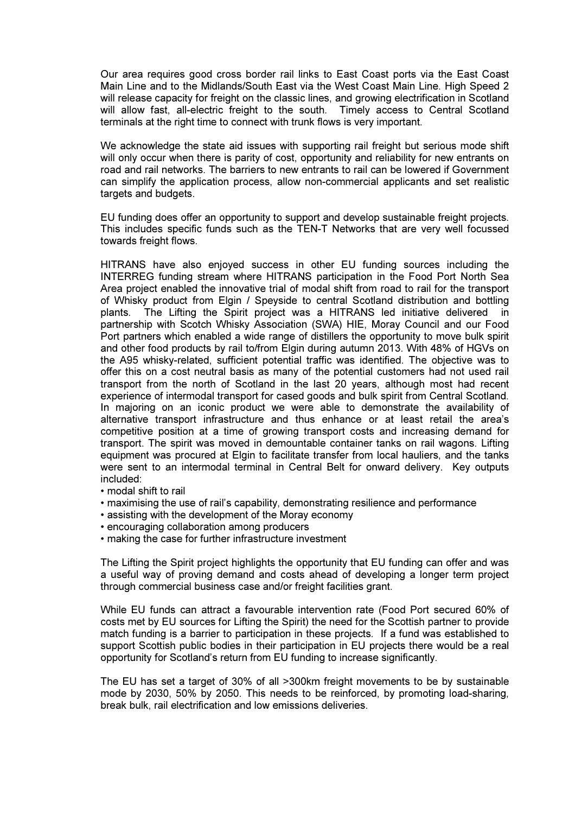Our area requires good cross border rail links to East Coast ports via the East Coast Main Line and to the Midlands/South East via the West Coast Main Line. High Speed 2 will release capacity for freight on the classic lines, and growing electrification in Scotland will allow fast, all-electric freight to the south. Timely access to Central Scotland terminals at the right time to connect with trunk flows is very important.

We acknowledge the state aid issues with supporting rail freight but serious mode shift will only occur when there is parity of cost, opportunity and reliability for new entrants on road and rail networks. The barriers to new entrants to rail can be lowered if Government can simplify the application process, allow non-commercial applicants and set realistic targets and budgets.

EU funding does offer an opportunity to support and develop sustainable freight projects. This includes specific funds such as the TEN-T Networks that are very well focussed towards freight flows.

HITRANS have also enjoyed success in other EU funding sources including the INTERREG funding stream where HITRANS participation in the Food Port North Sea Area project enabled the innovative trial of modal shift from road to rail for the transport of Whisky product from Elgin / Speyside to central Scotland distribution and bottling plants. The Lifting the Spirit project was a HITRANS led initiative delivered in partnership with Scotch Whisky Association (SWA) HIE, Moray Council and our Food Port partners which enabled a wide range of distillers the opportunity to move bulk spirit and other food products by rail to/from Elgin during autumn 2013. With 48% of HGVs on the A95 whisky-related, sufficient potential traffic was identified. The objective was to offer this on a cost neutral basis as many of the potential customers had not used rail transport from the north of Scotland in the last 20 years, although most had recent experience of intermodal transport for cased goods and bulk spirit from Central Scotland. In majoring on an iconic product we were able to demonstrate the availability of alternative transport infrastructure and thus enhance or at least retail the area's competitive position at a time of growing transport costs and increasing demand for transport. The spirit was moved in demountable container tanks on rail wagons. Lifting equipment was procured at Elgin to facilitate transfer from local hauliers, and the tanks were sent to an intermodal terminal in Central Belt for onward delivery. Key outputs included:

- modal shift to rail
- maximising the use of rail's capability, demonstrating resilience and performance
- assisting with the development of the Moray economy
- encouraging collaboration among producers
- making the case for further infrastructure investment

The Lifting the Spirit project highlights the opportunity that EU funding can offer and was a useful way of proving demand and costs ahead of developing a longer term project through commercial business case and/or freight facilities grant.

While EU funds can attract a favourable intervention rate (Food Port secured 60% of costs met by EU sources for Lifting the Spirit) the need for the Scottish partner to provide match funding is a barrier to participation in these projects. If a fund was established to support Scottish public bodies in their participation in EU projects there would be a real opportunity for Scotland's return from EU funding to increase significantly.

The EU has set a target of 30% of all >300km freight movements to be by sustainable mode by 2030, 50% by 2050. This needs to be reinforced, by promoting load-sharing, break bulk, rail electrification and low emissions deliveries.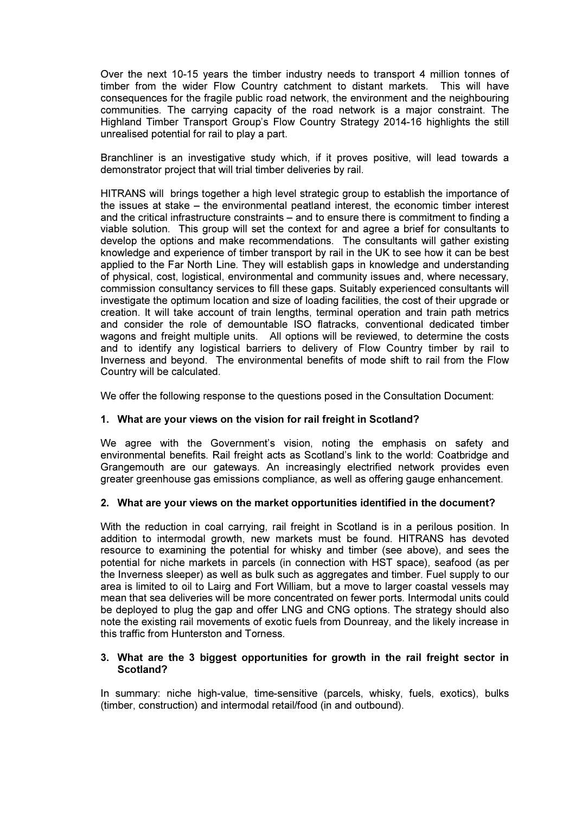Over the next 10-15 years the timber industry needs to transport 4 million tonnes of timber from the wider Flow Country catchment to distant markets. This will have consequences for the fragile public road network, the environment and the neighbouring communities. The carrying capacity of the road network is a major constraint. The Highland Timber Transport Group's Flow Country Strategy 2014-16 highlights the still unrealised potential for rail to play a part.

Branchliner is an investigative study which, if it proves positive, will lead towards a demonstrator project that will trial timber deliveries by rail.

HITRANS will brings together a high level strategic group to establish the importance of the issues at stake – the environmental peatland interest, the economic timber interest and the critical infrastructure constraints – and to ensure there is commitment to finding a viable solution. This group will set the context for and agree a brief for consultants to develop the options and make recommendations. The consultants will gather existing knowledge and experience of timber transport by rail in the UK to see how it can be best applied to the Far North Line. They will establish gaps in knowledge and understanding of physical, cost, logistical, environmental and community issues and, where necessary, commission consultancy services to fill these gaps. Suitably experienced consultants will investigate the optimum location and size of loading facilities, the cost of their upgrade or creation. It will take account of train lengths, terminal operation and train path metrics and consider the role of demountable ISO flatracks, conventional dedicated timber wagons and freight multiple units. All options will be reviewed, to determine the costs and to identify any logistical barriers to delivery of Flow Country timber by rail to Inverness and beyond. The environmental benefits of mode shift to rail from the Flow Country will be calculated.

We offer the following response to the questions posed in the Consultation Document:

### 1. What are your views on the vision for rail freight in Scotland?

We agree with the Government's vision, noting the emphasis on safety and environmental benefits. Rail freight acts as Scotland's link to the world: Coatbridge and Grangemouth are our gateways. An increasingly electrified network provides even greater greenhouse gas emissions compliance, as well as offering gauge enhancement.

### 2. What are your views on the market opportunities identified in the document?

With the reduction in coal carrying, rail freight in Scotland is in a perilous position. In addition to intermodal growth, new markets must be found. HITRANS has devoted resource to examining the potential for whisky and timber (see above), and sees the potential for niche markets in parcels (in connection with HST space), seafood (as per the Inverness sleeper) as well as bulk such as aggregates and timber. Fuel supply to our area is limited to oil to Lairg and Fort William, but a move to larger coastal vessels may mean that sea deliveries will be more concentrated on fewer ports. Intermodal units could be deployed to plug the gap and offer LNG and CNG options. The strategy should also note the existing rail movements of exotic fuels from Dounreay, and the likely increase in this traffic from Hunterston and Torness.

### 3. What are the 3 biggest opportunities for growth in the rail freight sector in Scotland?

In summary: niche high-value, time-sensitive (parcels, whisky, fuels, exotics), bulks (timber, construction) and intermodal retail/food (in and outbound).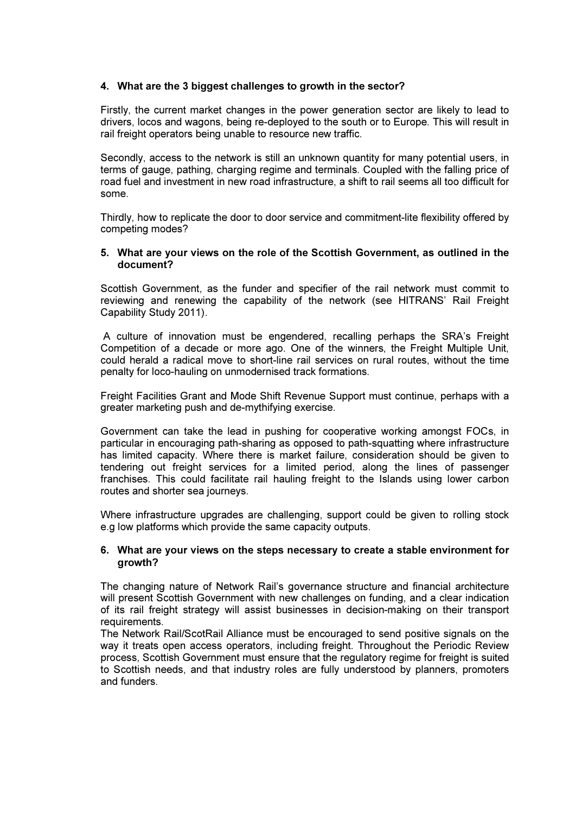# 4. What are the 3 biggest challenges to growth in the sector?

Firstly, the current market changes in the power generation sector are likely to lead to drivers, locos and wagons, being re-deployed to the south or to Europe. This will result in rail freight operators being unable to resource new traffic.

Secondly, access to the network is still an unknown quantity for many potential users, in terms of gauge, pathing, charging regime and terminals. Coupled with the falling price of road fuel and investment in new road infrastructure, a shift to rail seems all too difficult for some.

Thirdly, how to replicate the door to door service and commitment-lite flexibility offered by competing modes?

#### 5. What are your views on the role of the Scottish Government, as outlined in the document?

Scottish Government, as the funder and specifier of the rail network must commit to reviewing and renewing the capability of the network (see HITRANS' Rail Freight Capability Study 2011).

 A culture of innovation must be engendered, recalling perhaps the SRA's Freight Competition of a decade or more ago. One of the winners, the Freight Multiple Unit, could herald a radical move to short-line rail services on rural routes, without the time penalty for loco-hauling on unmodernised track formations.

Freight Facilities Grant and Mode Shift Revenue Support must continue, perhaps with a greater marketing push and de-mythifying exercise.

Government can take the lead in pushing for cooperative working amongst FOCs, in particular in encouraging path-sharing as opposed to path-squatting where infrastructure has limited capacity. Where there is market failure, consideration should be given to tendering out freight services for a limited period, along the lines of passenger franchises. This could facilitate rail hauling freight to the Islands using lower carbon routes and shorter sea journeys.

Where infrastructure upgrades are challenging, support could be given to rolling stock e.g low platforms which provide the same capacity outputs.

### 6. What are your views on the steps necessary to create a stable environment for growth?

The changing nature of Network Rail's governance structure and financial architecture will present Scottish Government with new challenges on funding, and a clear indication of its rail freight strategy will assist businesses in decision-making on their transport requirements.

The Network Rail/ScotRail Alliance must be encouraged to send positive signals on the way it treats open access operators, including freight. Throughout the Periodic Review process, Scottish Government must ensure that the regulatory regime for freight is suited to Scottish needs, and that industry roles are fully understood by planners, promoters and funders.